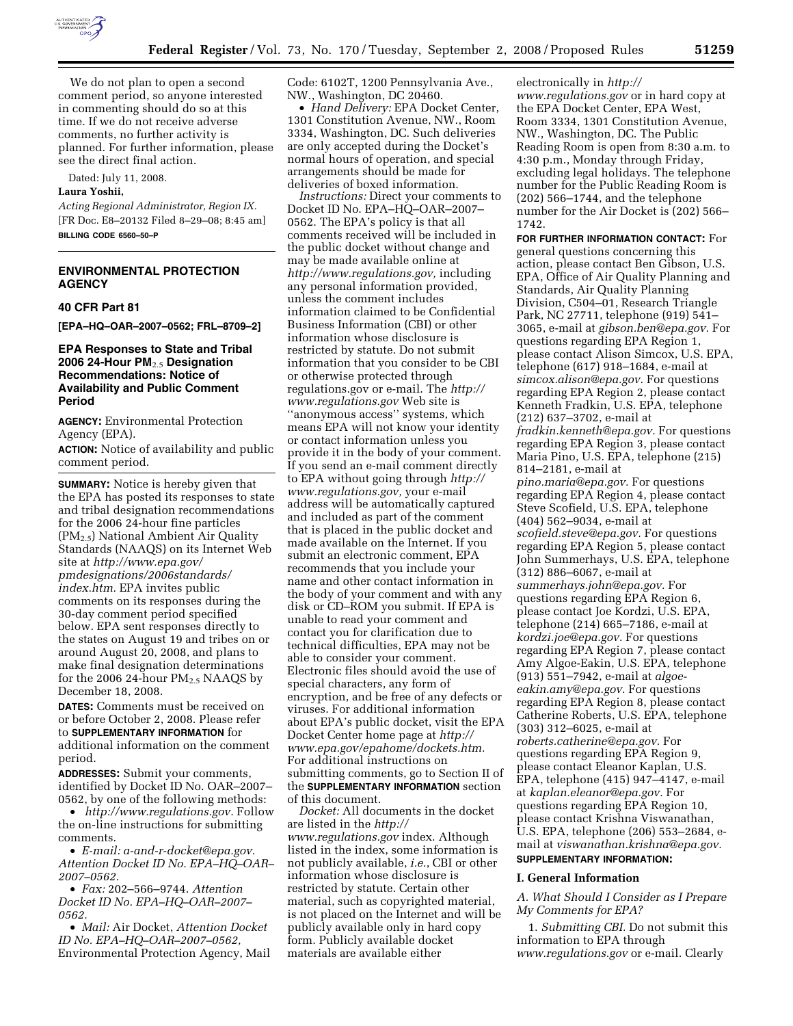

We do not plan to open a second comment period, so anyone interested in commenting should do so at this time. If we do not receive adverse comments, no further activity is planned. For further information, please see the direct final action.

Dated: July 11, 2008.

# **Laura Yoshii,**

*Acting Regional Administrator, Region IX.*  [FR Doc. E8–20132 Filed 8–29–08; 8:45 am] **BILLING CODE 6560–50–P** 

# **ENVIRONMENTAL PROTECTION AGENCY**

#### **40 CFR Part 81**

**[EPA–HQ–OAR–2007–0562; FRL–8709–2]** 

## **EPA Responses to State and Tribal 2006 24-Hour PM**2.5 **Designation Recommendations: Notice of Availability and Public Comment Period**

**AGENCY:** Environmental Protection Agency (EPA).

**ACTION:** Notice of availability and public comment period.

**SUMMARY:** Notice is hereby given that the EPA has posted its responses to state and tribal designation recommendations for the 2006 24-hour fine particles (PM2.5) National Ambient Air Quality Standards (NAAQS) on its Internet Web site at *http://www.epa.gov/ pmdesignations/2006standards/ index.htm.* EPA invites public comments on its responses during the 30-day comment period specified below. EPA sent responses directly to the states on August 19 and tribes on or around August 20, 2008, and plans to make final designation determinations for the 2006 24-hour  $PM_{2.5}$  NAAQS by December 18, 2008.

**DATES:** Comments must be received on or before October 2, 2008. Please refer to **SUPPLEMENTARY INFORMATION** for additional information on the comment period.

**ADDRESSES:** Submit your comments, identified by Docket ID No. OAR–2007– 0562, by one of the following methods:

• *http://www.regulations.gov.* Follow the on-line instructions for submitting comments.

• *E-mail: a-and-r-docket@epa.gov. Attention Docket ID No. EPA–HQ–OAR– 2007–0562.* 

• *Fax:* 202–566–9744. *Attention Docket ID No. EPA–HQ–OAR–2007– 0562.* 

• *Mail:* Air Docket, *Attention Docket ID No. EPA–HQ–OAR–2007–0562,*  Environmental Protection Agency, Mail Code: 6102T, 1200 Pennsylvania Ave., NW., Washington, DC 20460.

• *Hand Delivery:* EPA Docket Center, 1301 Constitution Avenue, NW., Room 3334, Washington, DC. Such deliveries are only accepted during the Docket's normal hours of operation, and special arrangements should be made for deliveries of boxed information.

*Instructions:* Direct your comments to Docket ID No. EPA–HQ–OAR–2007– 0562. The EPA's policy is that all comments received will be included in the public docket without change and may be made available online at *http://www.regulations.gov,* including any personal information provided, unless the comment includes information claimed to be Confidential Business Information (CBI) or other information whose disclosure is restricted by statute. Do not submit information that you consider to be CBI or otherwise protected through regulations.gov or e-mail. The *http:// www.regulations.gov* Web site is ''anonymous access'' systems, which means EPA will not know your identity or contact information unless you provide it in the body of your comment. If you send an e-mail comment directly to EPA without going through *http:// www.regulations.gov,* your e-mail address will be automatically captured and included as part of the comment that is placed in the public docket and made available on the Internet. If you submit an electronic comment, EPA recommends that you include your name and other contact information in the body of your comment and with any disk or CD–ROM you submit. If EPA is unable to read your comment and contact you for clarification due to technical difficulties, EPA may not be able to consider your comment. Electronic files should avoid the use of special characters, any form of encryption, and be free of any defects or viruses. For additional information about EPA's public docket, visit the EPA Docket Center home page at *http:// www.epa.gov/epahome/dockets.htm.*  For additional instructions on submitting comments, go to Section II of the **SUPPLEMENTARY INFORMATION** section of this document.

*Docket:* All documents in the docket are listed in the *http:// www.regulations.gov* index. Although listed in the index, some information is not publicly available, *i.e.*, CBI or other information whose disclosure is restricted by statute. Certain other material, such as copyrighted material, is not placed on the Internet and will be publicly available only in hard copy form. Publicly available docket materials are available either

electronically in *http:// www.regulations.gov* or in hard copy at the EPA Docket Center, EPA West, Room 3334, 1301 Constitution Avenue, NW., Washington, DC. The Public Reading Room is open from 8:30 a.m. to 4:30 p.m., Monday through Friday, excluding legal holidays. The telephone number for the Public Reading Room is (202) 566–1744, and the telephone number for the Air Docket is (202) 566– 1742.

**FOR FURTHER INFORMATION CONTACT:** For general questions concerning this action, please contact Ben Gibson, U.S. EPA, Office of Air Quality Planning and Standards, Air Quality Planning Division, C504–01, Research Triangle Park, NC 27711, telephone (919) 541– 3065, e-mail at *gibson.ben@epa.gov.* For questions regarding EPA Region 1, please contact Alison Simcox, U.S. EPA, telephone (617) 918–1684, e-mail at *simcox.alison@epa.gov.* For questions regarding EPA Region 2, please contact Kenneth Fradkin, U.S. EPA, telephone (212) 637–3702, e-mail at *fradkin.kenneth@epa.gov.* For questions regarding EPA Region 3, please contact Maria Pino, U.S. EPA, telephone (215) 814–2181, e-mail at *pino.maria@epa.gov.* For questions regarding EPA Region 4, please contact Steve Scofield, U.S. EPA, telephone (404) 562–9034, e-mail at *scofield.steve@epa.gov.* For questions regarding EPA Region 5, please contact John Summerhays, U.S. EPA, telephone (312) 886–6067, e-mail at *summerhays.john@epa.gov.* For questions regarding EPA Region 6, please contact Joe Kordzi, U.S. EPA, telephone (214) 665–7186, e-mail at *kordzi.joe@epa.gov.* For questions regarding EPA Region 7, please contact Amy Algoe-Eakin, U.S. EPA, telephone (913) 551–7942, e-mail at *algoeeakin.amy@epa.gov.* For questions regarding EPA Region 8, please contact Catherine Roberts, U.S. EPA, telephone (303) 312–6025, e-mail at *roberts.catherine@epa.gov.* For questions regarding EPA Region 9, please contact Eleanor Kaplan, U.S. EPA, telephone (415) 947–4147, e-mail at *kaplan.eleanor@epa.gov.* For questions regarding EPA Region 10, please contact Krishna Viswanathan, U.S. EPA, telephone (206) 553–2684, email at *viswanathan.krishna@epa.gov.*  **SUPPLEMENTARY INFORMATION:** 

# **I. General Information**

*A. What Should I Consider as I Prepare My Comments for EPA?* 

1. *Submitting CBI.* Do not submit this information to EPA through *www.regulations.gov* or e-mail. Clearly